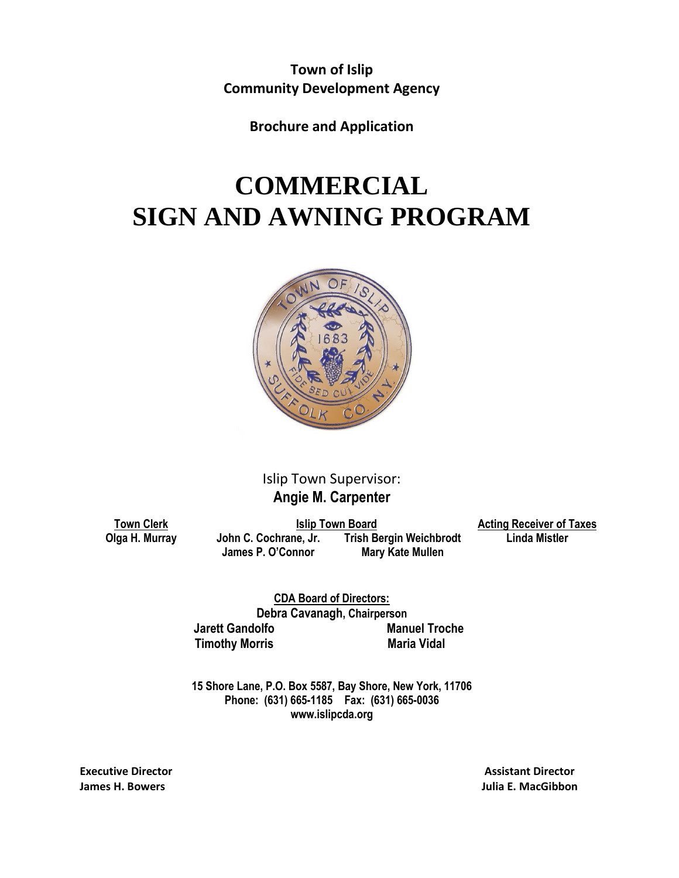**Town of Islip Community Development Agency**

**Brochure and Application**

# **COMMERCIAL SIGN AND AWNING PROGRAM**



### Islip Town Supervisor: **Angie M. Carpenter**

**Town Clerk Islip Town Board Acting Receiver of Taxes Olga H. Murray John C. Cochrane, Jr. Frish Bergin Weichbrodt James P. O'Connor Mary Kate Mullen**

**CDA Board of Directors: Debra Cavanagh, Chairperson Jarett Gandolfo Manuel Troche Timothy Morris** Maria Vidal

**15 Shore Lane, P.O. Box 5587, Bay Shore, New York, 11706 Phone: (631) 665-1185 Fax: (631) 665-0036 www.islipcda.org**

**Executive Director Assistant Director Assistant Director Assistant Director** 

**James H. Bowers Julia E. MacGibbon**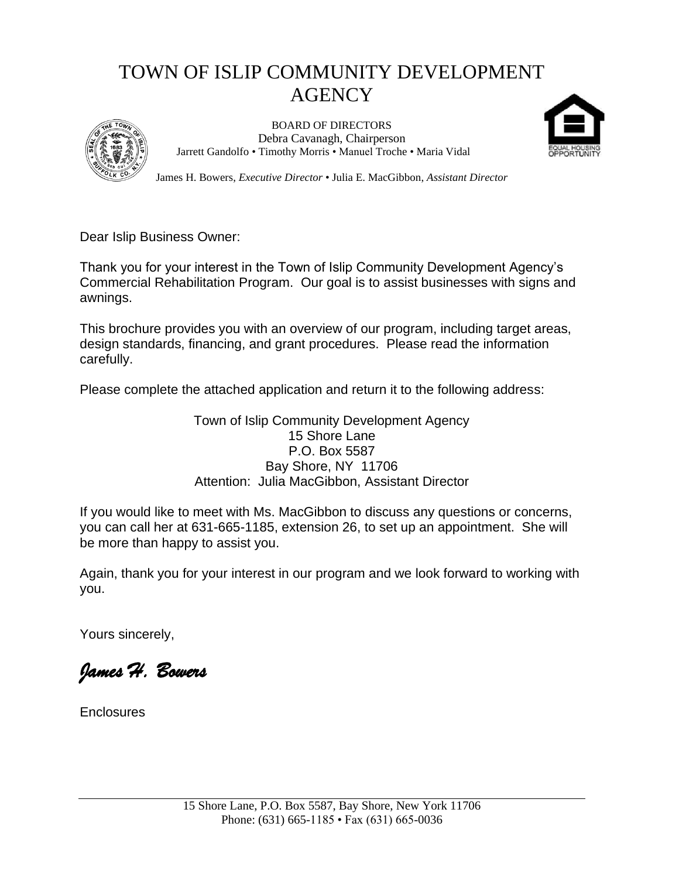## TOWN OF ISLIP COMMUNITY DEVELOPMENT **AGENCY**



BOARD OF DIRECTORS Debra Cavanagh, Chairperson Jarrett Gandolfo • Timothy Morris • Manuel Troche • Maria Vidal



James H. Bowers, *Executive Director* • Julia E. MacGibbon, *Assistant Director*

Dear Islip Business Owner:

Thank you for your interest in the Town of Islip Community Development Agency's Commercial Rehabilitation Program. Our goal is to assist businesses with signs and awnings.

This brochure provides you with an overview of our program, including target areas, design standards, financing, and grant procedures. Please read the information carefully.

Please complete the attached application and return it to the following address:

Town of Islip Community Development Agency 15 Shore Lane P.O. Box 5587 Bay Shore, NY 11706 Attention: Julia MacGibbon, Assistant Director

If you would like to meet with Ms. MacGibbon to discuss any questions or concerns, you can call her at 631-665-1185, extension 26, to set up an appointment. She will be more than happy to assist you.

Again, thank you for your interest in our program and we look forward to working with you.

Yours sincerely,

*James H. Bowers* 

**Enclosures**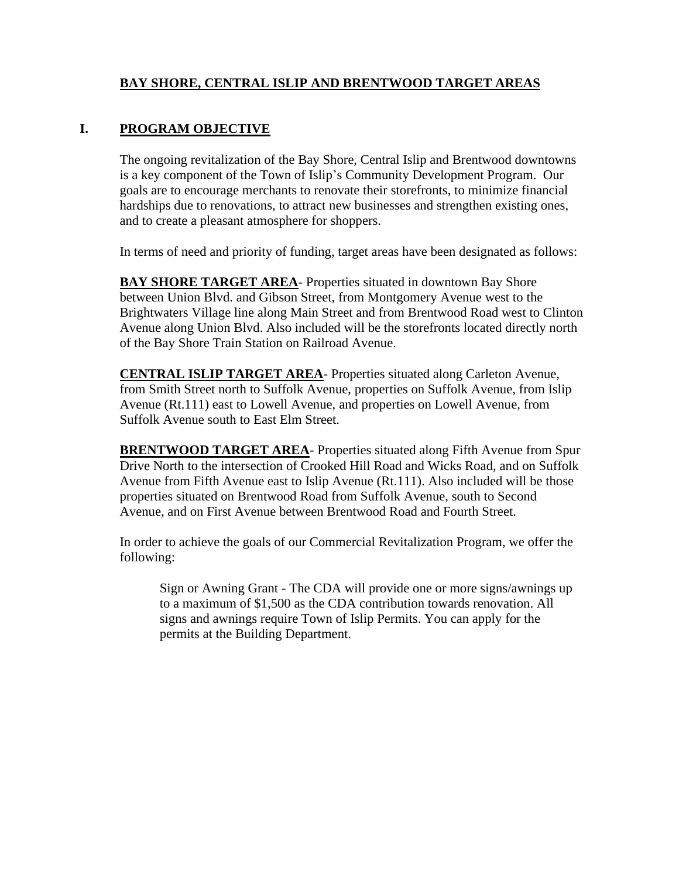#### **BAY SHORE, CENTRAL ISLIP AND BRENTWOOD TARGET AREAS**

#### **I. PROGRAM OBJECTIVE**

The ongoing revitalization of the Bay Shore, Central Islip and Brentwood downtowns is a key component of the Town of Islip's Community Development Program. Our goals are to encourage merchants to renovate their storefronts, to minimize financial hardships due to renovations, to attract new businesses and strengthen existing ones, and to create a pleasant atmosphere for shoppers.

In terms of need and priority of funding, target areas have been designated as follows:

**BAY SHORE TARGET AREA**- Properties situated in downtown Bay Shore between Union Blvd. and Gibson Street, from Montgomery Avenue west to the Brightwaters Village line along Main Street and from Brentwood Road west to Clinton Avenue along Union Blvd. Also included will be the storefronts located directly north of the Bay Shore Train Station on Railroad Avenue.

**CENTRAL ISLIP TARGET AREA**- Properties situated along Carleton Avenue, from Smith Street north to Suffolk Avenue, properties on Suffolk Avenue, from Islip Avenue (Rt.111) east to Lowell Avenue, and properties on Lowell Avenue, from Suffolk Avenue south to East Elm Street.

**BRENTWOOD TARGET AREA**- Properties situated along Fifth Avenue from Spur Drive North to the intersection of Crooked Hill Road and Wicks Road, and on Suffolk Avenue from Fifth Avenue east to Islip Avenue (Rt.111). Also included will be those properties situated on Brentwood Road from Suffolk Avenue, south to Second Avenue, and on First Avenue between Brentwood Road and Fourth Street.

In order to achieve the goals of our Commercial Revitalization Program, we offer the following:

Sign or Awning Grant - The CDA will provide one or more signs/awnings up to a maximum of \$1,500 as the CDA contribution towards renovation. All signs and awnings require Town of Islip Permits. You can apply for the permits at the Building Department.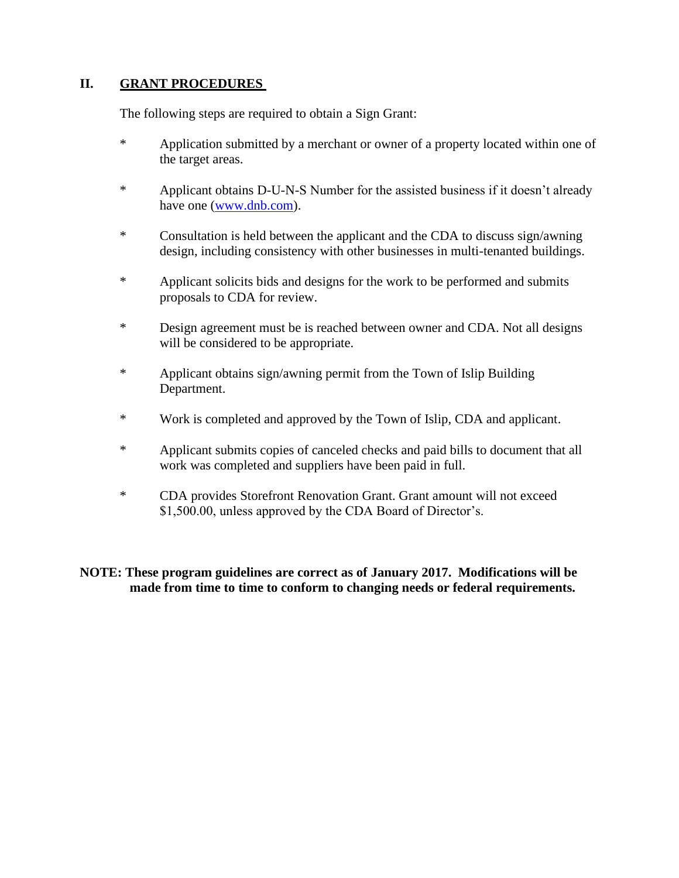#### **II.** GRANT **PROCEDURES**

The following steps are required to obtain a Sign Grant:

- \* Application submitted by a merchant or owner of a property located within one of the target areas.
- \* Applicant obtains D-U-N-S Number for the assisted business if it doesn't already have one [\(www.dnb.com\)](http://www.dnb.com/).
- \* Consultation is held between the applicant and the CDA to discuss sign/awning design, including consistency with other businesses in multi-tenanted buildings.
- \* Applicant solicits bids and designs for the work to be performed and submits proposals to CDA for review.
- \* Design agreement must be is reached between owner and CDA. Not all designs will be considered to be appropriate.
- \* Applicant obtains sign/awning permit from the Town of Islip Building Department.
- \* Work is completed and approved by the Town of Islip, CDA and applicant.
- \* Applicant submits copies of canceled checks and paid bills to document that all work was completed and suppliers have been paid in full.
- \* CDA provides Storefront Renovation Grant. Grant amount will not exceed \$1,500.00, unless approved by the CDA Board of Director's.

**NOTE: These program guidelines are correct as of January 2017. Modifications will be made from time to time to conform to changing needs or federal requirements.**